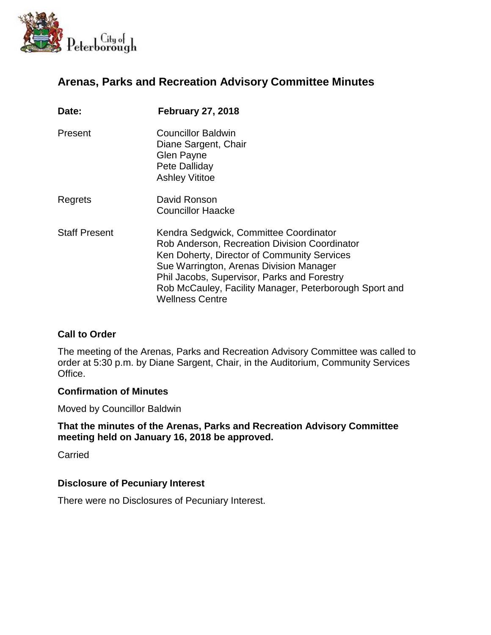

# **Arenas, Parks and Recreation Advisory Committee Minutes**

| Date:                | <b>February 27, 2018</b>                                                                                                                                                                                                                                                                                             |
|----------------------|----------------------------------------------------------------------------------------------------------------------------------------------------------------------------------------------------------------------------------------------------------------------------------------------------------------------|
| Present              | <b>Councillor Baldwin</b><br>Diane Sargent, Chair<br><b>Glen Payne</b><br>Pete Dalliday<br><b>Ashley Vititoe</b>                                                                                                                                                                                                     |
| Regrets              | David Ronson<br><b>Councillor Haacke</b>                                                                                                                                                                                                                                                                             |
| <b>Staff Present</b> | Kendra Sedgwick, Committee Coordinator<br>Rob Anderson, Recreation Division Coordinator<br>Ken Doherty, Director of Community Services<br>Sue Warrington, Arenas Division Manager<br>Phil Jacobs, Supervisor, Parks and Forestry<br>Rob McCauley, Facility Manager, Peterborough Sport and<br><b>Wellness Centre</b> |

## **Call to Order**

The meeting of the Arenas, Parks and Recreation Advisory Committee was called to order at 5:30 p.m. by Diane Sargent, Chair, in the Auditorium, Community Services Office.

### **Confirmation of Minutes**

Moved by Councillor Baldwin

### **That the minutes of the Arenas, Parks and Recreation Advisory Committee meeting held on January 16, 2018 be approved.**

**Carried** 

### **Disclosure of Pecuniary Interest**

There were no Disclosures of Pecuniary Interest.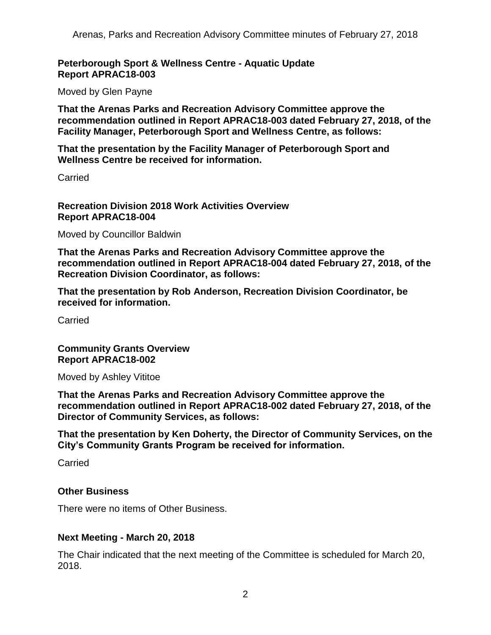## **Peterborough Sport & Wellness Centre - Aquatic Update Report APRAC18-003**

Moved by Glen Payne

**That the Arenas Parks and Recreation Advisory Committee approve the recommendation outlined in Report APRAC18-003 dated February 27, 2018, of the Facility Manager, Peterborough Sport and Wellness Centre, as follows:**

**That the presentation by the Facility Manager of Peterborough Sport and Wellness Centre be received for information.**

Carried

**Recreation Division 2018 Work Activities Overview Report APRAC18-004**

Moved by Councillor Baldwin

**That the Arenas Parks and Recreation Advisory Committee approve the recommendation outlined in Report APRAC18-004 dated February 27, 2018, of the Recreation Division Coordinator, as follows:**

**That the presentation by Rob Anderson, Recreation Division Coordinator, be received for information.**

Carried

**Community Grants Overview Report APRAC18-002**

Moved by Ashley Vititoe

**That the Arenas Parks and Recreation Advisory Committee approve the recommendation outlined in Report APRAC18-002 dated February 27, 2018, of the Director of Community Services, as follows:**

**That the presentation by Ken Doherty, the Director of Community Services, on the City's Community Grants Program be received for information.**

Carried

### **Other Business**

There were no items of Other Business.

### **Next Meeting - March 20, 2018**

The Chair indicated that the next meeting of the Committee is scheduled for March 20, 2018.